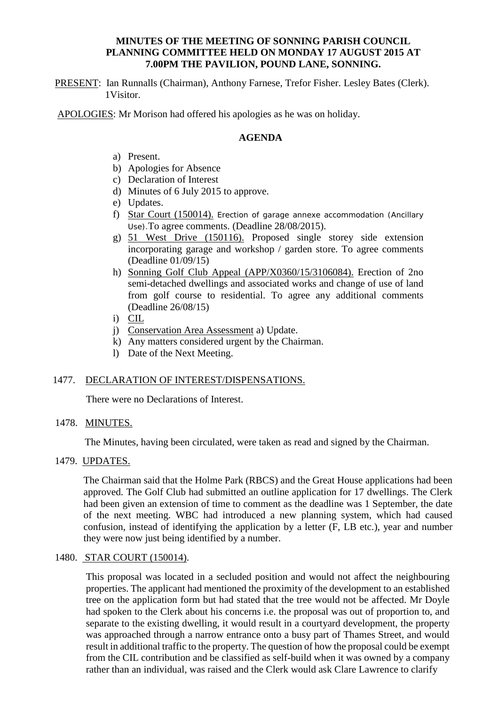## **MINUTES OF THE MEETING OF SONNING PARISH COUNCIL PLANNING COMMITTEE HELD ON MONDAY 17 AUGUST 2015 AT 7.00PM THE PAVILION, POUND LANE, SONNING.**

PRESENT: Ian Runnalls (Chairman), Anthony Farnese, Trefor Fisher. Lesley Bates (Clerk). 1Visitor.

APOLOGIES: Mr Morison had offered his apologies as he was on holiday.

## **AGENDA**

- a) Present.
- b) Apologies for Absence
- c) Declaration of Interest
- d) Minutes of 6 July 2015 to approve.
- e) Updates.
- f) Star Court (150014). Erection of garage annexe accommodation (Ancillary Use).To agree comments. (Deadline 28/08/2015).
- g) 51 West Drive (150116). Proposed single storey side extension incorporating garage and workshop / garden store. To agree comments (Deadline 01/09/15)
- h) Sonning Golf Club Appeal (APP/X0360/15/3106084). Erection of 2no semi-detached dwellings and associated works and change of use of land from golf course to residential. To agree any additional comments (Deadline 26/08/15)
- i) CIL
- j) Conservation Area Assessment a) Update.
- k) Any matters considered urgent by the Chairman.
- l) Date of the Next Meeting.

### 1477. DECLARATION OF INTEREST/DISPENSATIONS.

There were no Declarations of Interest.

### 1478. MINUTES.

The Minutes, having been circulated, were taken as read and signed by the Chairman.

### 1479. UPDATES.

The Chairman said that the Holme Park (RBCS) and the Great House applications had been approved. The Golf Club had submitted an outline application for 17 dwellings. The Clerk had been given an extension of time to comment as the deadline was 1 September, the date of the next meeting. WBC had introduced a new planning system, which had caused confusion, instead of identifying the application by a letter (F, LB etc.), year and number they were now just being identified by a number.

### 1480. STAR COURT (150014).

This proposal was located in a secluded position and would not affect the neighbouring properties. The applicant had mentioned the proximity of the development to an established tree on the application form but had stated that the tree would not be affected. Mr Doyle had spoken to the Clerk about his concerns i.e. the proposal was out of proportion to, and separate to the existing dwelling, it would result in a courtyard development, the property was approached through a narrow entrance onto a busy part of Thames Street, and would result in additional traffic to the property. The question of how the proposal could be exempt from the CIL contribution and be classified as self-build when it was owned by a company rather than an individual, was raised and the Clerk would ask Clare Lawrence to clarify